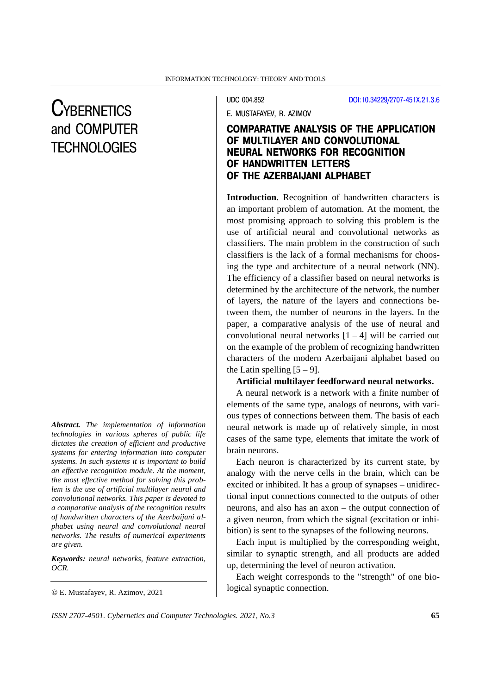# **CYBERNETICS** and COMPUTER **TECHNOLOGIES**

*Abstract. The implementation of information technologies in various spheres of public life dictates the creation of efficient and productive systems for entering information into computer systems. In such systems it is important to build an effective recognition module. At the moment, the most effective method for solving this problem is the use of artificial multilayer neural and convolutional networks. This paper is devoted to a comparative analysis of the recognition results of handwritten characters of the Azerbaijani alphabet using neural and convolutional neural networks. The results of numerical experiments are given.*

*Keywords: neural networks, feature extraction, OCR.*

UDC 004.852 [DOI:10.34229/2707-451X.21.3.6](https://doi.org/10.34229/2707-451X.21.3.6)

E. MUSTAFAYEV, R. AZIMOV

## COMPARATIVE ANALYSIS OF THE APPLICATION OF MULTILAYER AND CONVOLUTIONAL NEURAL NETWORKS FOR RECOGNITION OF HANDWRITTEN LETTERS OF THE AZERBAIJANI ALPHABET

**Introduction**. Recognition of handwritten characters is an important problem of automation. At the moment, the most promising approach to solving this problem is the use of artificial neural and convolutional networks as classifiers. The main problem in the construction of such classifiers is the lack of a formal mechanisms for choosing the type and architecture of a neural network (NN). The efficiency of a classifier based on neural networks is determined by the architecture of the network, the number of layers, the nature of the layers and connections between them, the number of neurons in the layers. In the paper, a comparative analysis of the use of neural and convolutional neural networks  $[1 - 4]$  will be carried out on the example of the problem of recognizing handwritten characters of the modern Azerbaijani alphabet based on the Latin spelling  $[5 - 9]$ .

### **Artificial multilayer feedforward neural networks.**

A neural network is a network with a finite number of elements of the same type, analogs of neurons, with various types of connections between them. The basis of each neural network is made up of relatively simple, in most cases of the same type, elements that imitate the work of brain neurons.

Each neuron is characterized by its current state, by analogy with the nerve cells in the brain, which can be excited or inhibited. It has a group of synapses – unidirectional input connections connected to the outputs of other neurons, and also has an axon – the output connection of a given neuron, from which the signal (excitation or inhibition) is sent to the synapses of the following neurons.

Each input is multiplied by the corresponding weight, similar to synaptic strength, and all products are added up, determining the level of neuron activation.

Each weight corresponds to the "strength" of one biological synaptic connection.

E. Mustafayev, R. Azimov, 2021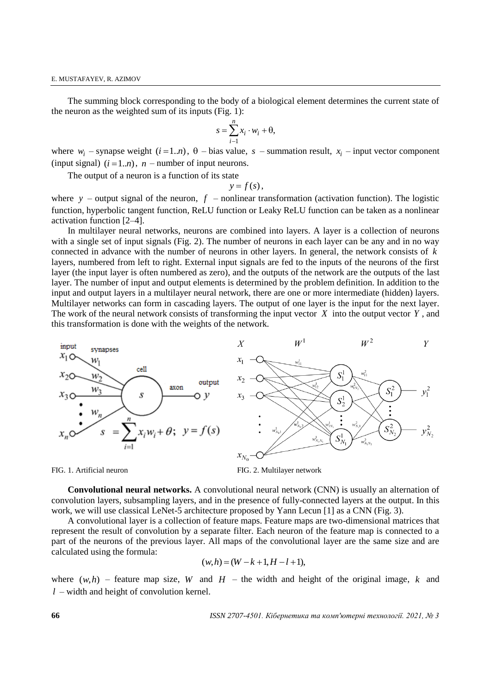The summing block corresponding to the body of a biological element determines the current state of the neuron as the weighted sum of its inputs (Fig. 1):

$$
s = \sum_{i=1}^{n} x_i \cdot w_i + \theta,
$$

where  $w_i$  – synapse weight  $(i=1..n)$ ,  $\theta$  – bias value,  $s$  – summation result,  $x_i$  – input vector component  $(i$ nput signal)  $(i = 1..n)$ ,  $n$  – number of input neurons.

The output of a neuron is a function of its state

$$
y = f(s),
$$

where  $y$  – output signal of the neuron,  $f$  – nonlinear transformation (activation function). The logistic function, hyperbolic tangent function, ReLU function or Leaky ReLU function can be taken as a nonlinear activation function [2–4].

In multilayer neural networks, neurons are combined into layers. A layer is a collection of neurons with a single set of input signals (Fig. 2). The number of neurons in each layer can be any and in no way connected in advance with the number of neurons in other layers. In general, the network consists of *k* layers, numbered from left to right. External input signals are fed to the inputs of the neurons of the first layer (the input layer is often numbered as zero), and the outputs of the network are the outputs of the last layer. The number of input and output elements is determined by the problem definition. In addition to the input and output layers in a multilayer neural network, there are one or more intermediate (hidden) layers. Multilayer networks can form in cascading layers. The output of one layer is the input for the next layer. The work of the neural network consists of transforming the input vector  $X$  into the output vector  $Y$ , and this transformation is done with the weights of the network.





**Convolutional neural networks.** A convolutional neural network (CNN) is usually an alternation of convolution layers, subsampling layers, and in the presence of fully-connected layers at the output. In this work, we will use classical LeNet-5 architecture proposed by Yann Lecun [1] as a CNN (Fig. 3).

A convolutional layer is a collection of feature maps. Feature maps are two-dimensional matrices that represent the result of convolution by a separate filter. Each neuron of the feature map is connected to a part of the neurons of the previous layer. All maps of the convolutional layer are the same size and are calculated using the formula:

$$
(w,h)=(W-k+1,H-l+1),
$$

where  $(w, h)$  – feature map size, *W* and *H* – the width and height of the original image, *k* and *<sup>l</sup>* – width and height of convolution kernel.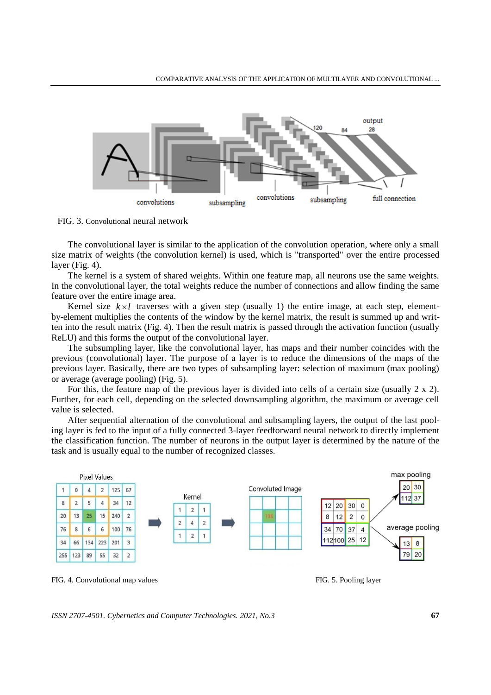

FIG. 3. Convolutional neural network

The convolutional layer is similar to the application of the convolution operation, where only a small size matrix of weights (the convolution kernel) is used, which is "transported" over the entire processed layer (Fig. 4).

The kernel is a system of shared weights. Within one feature map, all neurons use the same weights. In the convolutional layer, the total weights reduce the number of connections and allow finding the same feature over the entire image area.

Kernel size  $k \times l$  traverses with a given step (usually 1) the entire image, at each step, elementby-element multiplies the contents of the window by the kernel matrix, the result is summed up and written into the result matrix (Fig. 4). Then the result matrix is passed through the activation function (usually ReLU) and this forms the output of the convolutional layer.

The subsumpling layer, like the convolutional layer, has maps and their number coincides with the previous (convolutional) layer. The purpose of a layer is to reduce the dimensions of the maps of the previous layer. Basically, there are two types of subsampling layer: selection of maximum (max pooling) or average (average pooling) (Fig. 5).

For this, the feature map of the previous layer is divided into cells of a certain size (usually 2 x 2). Further, for each cell, depending on the selected downsampling algorithm, the maximum or average cell value is selected.

After sequential alternation of the convolutional and subsampling layers, the output of the last pooling layer is fed to the input of a fully connected 3-layer feedforward neural network to directly implement the classification function. The number of neurons in the output layer is determined by the nature of the task and is usually equal to the number of recognized classes.



FIG. 4. Convolutional map values FIG. 5. Pooling layer

*ISSN 2707-4501. Cybernetics and Computer Technologies. 2021, No.3* **67**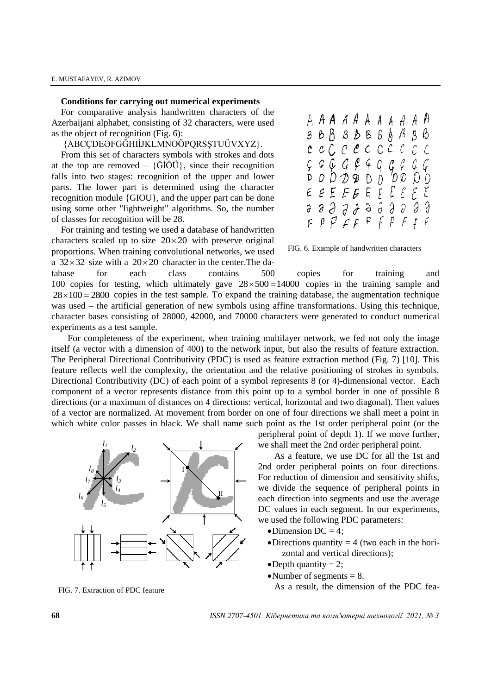#### **Conditions for carrying out numerical experiments**

For comparative analysis handwritten characters of the Azerbaijani alphabet, consisting of 32 characters, were used as the object of recognition (Fig. 6):

{ABCÇDEƏFGĞHIİJKLMNOÖPQRSŞTUÜVXYZ}.

From this set of characters symbols with strokes and dots at the top are removed –  $\{\tilde{G}I\tilde{O}\tilde{U}\}$ , since their recognition falls into two stages: recognition of the upper and lower parts. The lower part is determined using the character recognition module {GIOU}, and the upper part can be done using some other "lightweight" algorithms. So, the number of classes for recognition will be 28.

For training and testing we used a database of handwritten characters scaled up to size  $20 \times 20$  with preserve original proportions. When training convolutional networks, we used a  $32 \times 32$  size with a  $20 \times 20$  character in the center. The da-

tabase for each class contains 500 copies for training and 100 copies for testing, which ultimately gave  $28 \times 500 = 14000$  copies in the training sample and  $28 \times 100 = 2800$  copies in the test sample. To expand the training database, the augmentation technique was used – the artificial generation of new symbols using affine transformations. Using this technique, character bases consisting of 28000, 42000, and 70000 characters were generated to conduct numerical experiments as a test sample.

For completeness of the experiment, when training multilayer network, we fed not only the image itself (a vector with a dimension of 400) to the network input, but also the results of feature extraction. The Peripheral Directional Contributivity (PDC) is used as feature extraction method (Fig. 7) [10]. This feature reflects well the complexity, the orientation and the relative positioning of strokes in symbols. Directional Contributivity (DC) of each point of a symbol represents 8 (or 4)-dimensional vector. Each component of a vector represents distance from this point up to a symbol border in one of possible 8 directions (or a maximum of distances on 4 directions: vertical, horizontal and two diagonal). Then values of a vector are normalized. At movement from border on one of four directions we shall meet a point in which white color passes in black. We shall name such point as the 1st order peripheral point (or the



FIG. 7. Extraction of PDC feature

peripheral point of depth 1). If we move further, we shall meet the 2nd order peripheral point.

As a feature, we use DC for all the 1st and 2nd order peripheral points on four directions. For reduction of dimension and sensitivity shifts, we divide the sequence of peripheral points in each direction into segments and use the average DC values in each segment. In our experiments, we used the following PDC parameters:

- $\bullet$ Dimension DC = 4;
- $\bullet$  Directions quantity = 4 (two each in the horizontal and vertical directions);
- $\bullet$  Depth quantity = 2;
- Number of segments  $= 8$ .

As a result, the dimension of the PDC fea-

**68** *ISSN 2707-4501. Кібернетика та комп'ютерні технології. 2021, № 3*

|  | A <b>A A</b> A A A A A A A A<br><u>β Β β β Β β β β β β</u> |  |  |  |
|--|------------------------------------------------------------|--|--|--|
|  | $c$ c $c$ $c$ $c$ c $c$ c $c$ $c$ $c$                      |  |  |  |
|  |                                                            |  |  |  |
|  |                                                            |  |  |  |
|  |                                                            |  |  |  |
|  | <i><b>a a a a a a a a a a a</b></i>                        |  |  |  |
|  | $F$ $P$ $P$ $F$ $F$ $F$ $F$ $F$ $F$ $F$ $F$ $F$            |  |  |  |

FIG. 6. Example of handwritten characters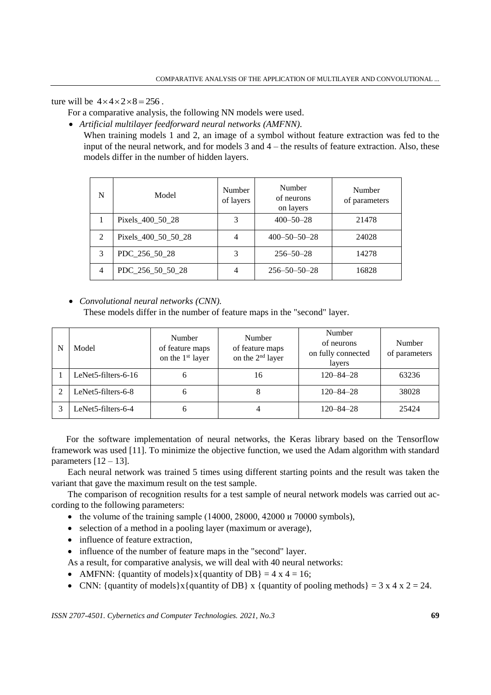ture will be  $4 \times 4 \times 2 \times 8 = 256$ .

For a comparative analysis, the following NN models were used.

*Artificial multilayer feedforward neural networks (AMFNN)*.

When training models 1 and 2, an image of a symbol without feature extraction was fed to the input of the neural network, and for models 3 and 4 – the results of feature extraction. Also, these models differ in the number of hidden layers.

| N              | Model               | Number<br>of layers | Number<br>of neurons<br>on layers | Number<br>of parameters |  |
|----------------|---------------------|---------------------|-----------------------------------|-------------------------|--|
|                | Pixels 400 50 28    | 3                   | $400 - 50 - 28$                   | 21478                   |  |
| $\mathfrak{D}$ | Pixels 400 50 50 28 |                     | $400 - 50 - 50 - 28$              | 24028                   |  |
| $\mathcal{F}$  | PDC 256 50 28       | 3                   | $256 - 50 - 28$                   | 14278                   |  |
| $\overline{4}$ | PDC 256 50 50 28    |                     | $256 - 50 - 50 - 28$              | 16828                   |  |

*Convolutional neural networks (CNN).*

These models differ in the number of feature maps in the "second" layer.

| N | Model                           | Number<br>of feature maps<br>on the 1 <sup>st</sup> layer | Number<br>of feature maps<br>on the 2 <sup>nd</sup> layer | Number<br>of neurons<br>on fully connected<br>layers | Number<br>of parameters |
|---|---------------------------------|-----------------------------------------------------------|-----------------------------------------------------------|------------------------------------------------------|-------------------------|
|   | LeNet5-filters-6-16             |                                                           | 16                                                        | $120 - 84 - 28$                                      | 63236                   |
|   | LeNet5-filters-6-8              | h                                                         |                                                           | $120 - 84 - 28$                                      | 38028                   |
|   | LeNet <sub>5</sub> -filters-6-4 | h                                                         |                                                           | $120 - 84 - 28$                                      | 25424                   |

For the software implementation of neural networks, the Keras library based on the Tensorflow framework was used [11]. To minimize the objective function, we used the Adam algorithm with standard parameters  $[12 - 13]$ .

Each neural network was trained 5 times using different starting points and the result was taken the variant that gave the maximum result on the test sample.

The comparison of recognition results for a test sample of neural network models was carried out according to the following parameters:

- the volume of the training sample (14000, 28000, 42000 и 70000 symbols),
- selection of a method in a pooling layer (maximum or average),
- influence of feature extraction.
- influence of the number of feature maps in the "second" layer.
- As a result, for comparative analysis, we will deal with 40 neural networks:
- AMFNN: {quantity of models} $x$ {quantity of DB} = 4 x 4 = 16;
- CNN: {quantity of models  $x$  {quantity of DB } x {quantity of pooling methods } = 3 x 4 x 2 = 24.

*ISSN 2707-4501. Cybernetics and Computer Technologies. 2021, No.3* **69**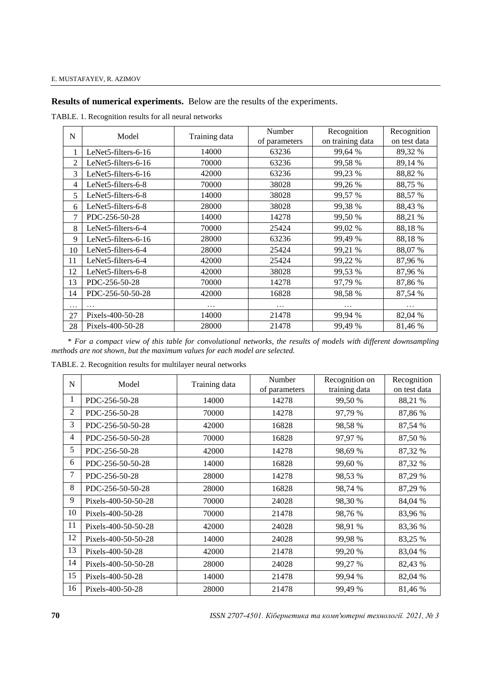**Results of numerical experiments.** Below are the results of the experiments.

TABLE. 1. Recognition results for all neural networks

| N              | Model               | Training data | Number        | Recognition      | Recognition  |
|----------------|---------------------|---------------|---------------|------------------|--------------|
|                |                     |               | of parameters | on training data | on test data |
|                | LeNet5-filters-6-16 | 14000         | 63236         | 99,64 %          | 89,32 %      |
| $\overline{2}$ | LeNet5-filters-6-16 | 70000         | 63236         | 99,58 %          | 89,14 %      |
| 3              | LeNet5-filters-6-16 | 42000         | 63236         | 99,23 %          | 88,82 %      |
| 4              | LeNet5-filters-6-8  | 70000         | 38028         | 99,26 %          | 88,75 %      |
| 5              | LeNet5-filters-6-8  | 14000         | 38028         | 99,57 %          | 88,57 %      |
| 6              | LeNet5-filters-6-8  | 28000         | 38028         | 99,38 %          | 88,43 %      |
| $\overline{7}$ | PDC-256-50-28       | 14000         | 14278         | 99,50 %          | 88,21 %      |
| 8              | LeNet5-filters-6-4  | 70000         | 25424         | 99,02 %          | 88,18%       |
| 9              | LeNet5-filters-6-16 | 28000         | 63236         | 99,49 %          | 88,18%       |
| 10             | LeNet5-filters-6-4  | 28000         | 25424         | 99,21 %          | 88,07 %      |
| 11             | LeNet5-filters-6-4  | 42000         | 25424         | 99,22 %          | 87,96 %      |
| 12             | LeNet5-filters-6-8  | 42000         | 38028         | 99,53 %          | 87,96 %      |
| 13             | PDC-256-50-28       | 70000         | 14278         | 97,79 %          | 87,86 %      |
| 14             | PDC-256-50-50-28    | 42000         | 16828         | 98,58 %          | 87,54 %      |
| .              | $\cdots$            | $\cdots$      | .             | $\cdots$         | $\cdots$     |
| 27             | Pixels-400-50-28    | 14000         | 21478         | 99,94 %          | 82,04 %      |
| 28             | Pixels-400-50-28    | 28000         | 21478         | 99,49 %          | 81,46 %      |

\* *For a compact view of this table for convolutional networks, the results of models with different downsampling methods are not shown, but the maximum values for each model are selected.*

TABLE. 2. Recognition results for multilayer neural networks

| N              | Model               | Training data | Number<br>of parameters | Recognition on<br>training data | Recognition<br>on test data |
|----------------|---------------------|---------------|-------------------------|---------------------------------|-----------------------------|
| 1              | PDC-256-50-28       | 14000         | 14278                   | 99,50 %                         | 88,21 %                     |
| $\overline{2}$ | PDC-256-50-28       | 70000         | 14278                   | 97,79 %                         | 87,86 %                     |
| 3              | PDC-256-50-50-28    | 42000         | 16828                   | 98,58%                          | 87,54 %                     |
| 4              | PDC-256-50-50-28    | 70000         | 16828                   | 97,97 %                         | 87,50 %                     |
| 5              | PDC-256-50-28       | 42000         | 14278                   | 98,69 %                         | 87,32 %                     |
| 6              | PDC-256-50-50-28    | 14000         | 16828                   | 99,60 %                         | 87,32 %                     |
| 7              | PDC-256-50-28       | 28000         | 14278                   | 98,53 %                         | 87,29 %                     |
| 8              | PDC-256-50-50-28    | 28000         | 16828                   | 98,74 %                         | 87,29 %                     |
| 9              | Pixels-400-50-50-28 | 70000         | 24028                   | 98,30 %                         | 84,04 %                     |
| 10             | Pixels-400-50-28    | 70000         | 21478                   | 98,76 %                         | 83,96 %                     |
| 11             | Pixels-400-50-50-28 | 42000         | 24028                   | 98,91 %                         | 83,36 %                     |
| 12             | Pixels-400-50-50-28 | 14000         | 24028                   | 99,98 %                         | 83,25 %                     |
| 13             | Pixels-400-50-28    | 42000         | 21478                   | 99,20 %                         | 83,04 %                     |
| 14             | Pixels-400-50-50-28 | 28000         | 24028                   | 99,27 %                         | 82,43 %                     |
| 15             | Pixels-400-50-28    | 14000         | 21478                   | 99,94 %                         | 82,04 %                     |
| 16             | Pixels-400-50-28    | 28000         | 21478                   | 99,49 %                         | 81,46 %                     |

*ISSN 2707-4501. Кібернетика та комп'ютерні технології. 2021, № 3*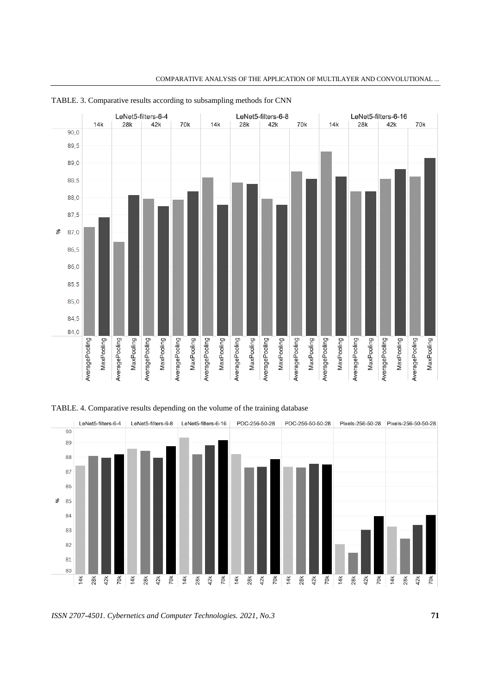

COMPARATIVE ANALYSIS OF THE APPLICATION OF MULTILAYER AND CONVOLUTIONAL ...





*ISSN 2707-4501. Cybernetics and Computer Technologies. 2021, No.3* **71**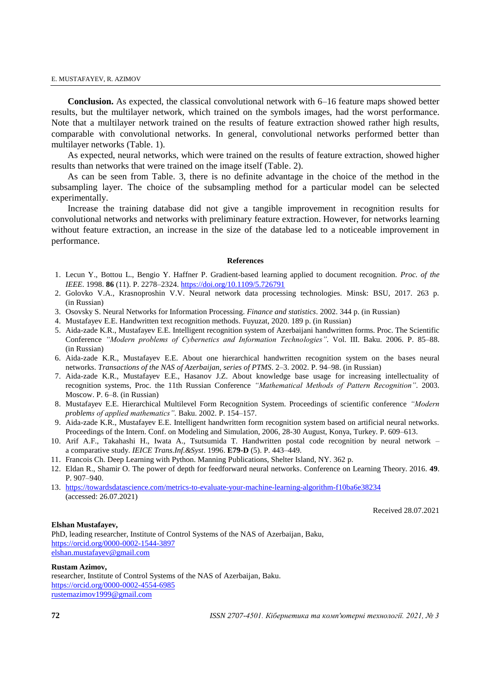#### E. MUSTAFAYEV, R. AZIMOV

**Conclusion.** As expected, the classical convolutional network with 6–16 feature maps showed better results, but the multilayer network, which trained on the symbols images, had the worst performance. Note that a multilayer network trained on the results of feature extraction showed rather high results, comparable with convolutional networks. In general, convolutional networks performed better than multilayer networks (Table. 1).

As expected, neural networks, which were trained on the results of feature extraction, showed higher results than networks that were trained on the image itself (Table. 2).

As can be seen from Table. 3, there is no definite advantage in the choice of the method in the subsampling layer. The choice of the subsampling method for a particular model can be selected experimentally.

Increase the training database did not give a tangible improvement in recognition results for convolutional networks and networks with preliminary feature extraction. However, for networks learning without feature extraction, an increase in the size of the database led to a noticeable improvement in performance.

#### **References**

- 1. Lecun Y., Bottou L., Bengio Y. Haffner P. Gradient-based learning applied to document recognition. *Proc. of the IEEE*. 1998. **86** (11). P. 2278–2324. <https://doi.org/10.1109/5.726791>
- 2. Golovko V.A., Krasnoproshin V.V. Neural network data processing technologies. Minsk: BSU, 2017. 263 p. (in Russian)
- 3. Osovsky S. Neural Networks for Information Processing. *Finance and statistics*. 2002. 344 p. (in Russian)
- 4. Mustafayev E.E. Handwritten text recognition methods. Fuyuzat, 2020. 189 p. (in Russian)
- 5. Aida-zade K.R., Mustafayev E.E. Intelligent recognition system of Azerbaijani handwritten forms. Proc. The Scientific Conference *"Modern problems of Cybernetics and Information Technologies".* Vol. III. Baku. 2006. P. 85–88. (in Russian)
- 6. Aida-zade K.R., Mustafayev E.E. About one hierarchical handwritten recognition system on the bases neural networks. *Transactions of the NAS of Azerbaijan, series of PTMS*. 2–3. 2002. P. 94–98. (in Russian)
- 7. Aida-zade K.R., Mustafayev E.E., Hasanov J.Z. About knowledge base usage for increasing intellectuality of recognition systems, Proc. the 11th Russian Conference *"Mathematical Methods of Pattern Recognition".* 2003. Moscow. P. 6–8. (in Russian)
- 8. Mustafayev E.E. Hierarchical Multilevel Form Recognition System. Proceedings of scientific conference *"Modern problems of applied mathematics".* Baku. 2002. P. 154–157.
- 9. Aida-zade K.R., Mustafayev E.E. Intelligent handwritten form recognition system based on artificial neural networks. Proceedings of the Intern. Conf. on Modeling and Simulation, 2006, 28-30 August, Konya, Turkey. P. 609–613.
- 10. Arif A.F., Takahashi H., Iwata A., Tsutsumida T. Handwritten postal code recognition by neural network a comparative study. *IEICE Trans.Inf.&Syst*. 1996. **E79-D** (5). P. 443–449.
- 11. Francois Ch. Deep Learning with Python. Manning Publications, Shelter Island, NY. 362 p.
- 12. Eldan R., Shamir O. The power of depth for feedforward neural networks. Conference on Learning Theory. 2016. **49**. P. 907–940.
- 13. <https://towardsdatascience.com/metrics-to-evaluate-your-machine-learning-algorithm-f10ba6e38234> (accessed: 26.07.2021)

Received 28.07.2021

#### **Elshan Mustafayev,**

PhD, leading researcher, Institute of Control Systems of the NAS of Azerbaijan, Baku, <https://orcid.org/0000-0002-1544-3897> [elshan.mustafayev@gmail.com](mailto:elshan.mustafayev@gmail.com)

**Rustam Azimov,**

researcher, Institute of Control Systems of the NAS of Azerbaijan, Baku. <https://orcid.org/0000-0002-4554-6985> [rustemazimov1999@gmail.com](mailto:rustemazimov1999@gmail.com)